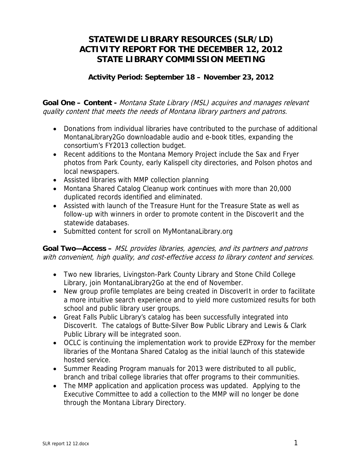## **STATEWIDE LIBRARY RESOURCES (SLR/LD) ACTIVITY REPORT FOR THE DECEMBER 12, 2012 STATE LIBRARY COMMISSION MEETING**

## **Activity Period: September 18 – November 23, 2012**

**Goal One – Content -** Montana State Library (MSL) acquires and manages relevant quality content that meets the needs of Montana library partners and patrons.

- Donations from individual libraries have contributed to the purchase of additional MontanaLibrary2Go downloadable audio and e-book titles, expanding the consortium's FY2013 collection budget.
- Recent additions to the Montana Memory Project include the Sax and Fryer photos from Park County, early Kalispell city directories, and Polson photos and local newspapers.
- Assisted libraries with MMP collection planning
- Montana Shared Catalog Cleanup work continues with more than 20,000 duplicated records identified and eliminated.
- Assisted with launch of the Treasure Hunt for the Treasure State as well as follow-up with winners in order to promote content in the DiscoverIt and the statewide databases.
- Submitted content for scroll on MyMontanaLibrary.org

**Goal Two—Access –** MSL provides libraries, agencies, and its partners and patrons with convenient, high quality, and cost-effective access to library content and services.

- Two new libraries, Livingston-Park County Library and Stone Child College Library, join MontanaLibrary2Go at the end of November.
- New group profile templates are being created in DiscoverIt in order to facilitate a more intuitive search experience and to yield more customized results for both school and public library user groups.
- Great Falls Public Library's catalog has been successfully integrated into DiscoverIt. The catalogs of Butte-Silver Bow Public Library and Lewis & Clark Public Library will be integrated soon.
- OCLC is continuing the implementation work to provide EZProxy for the member libraries of the Montana Shared Catalog as the initial launch of this statewide hosted service.
- Summer Reading Program manuals for 2013 were distributed to all public, branch and tribal college libraries that offer programs to their communities.
- The MMP application and application process was updated. Applying to the Executive Committee to add a collection to the MMP will no longer be done through the Montana Library Directory.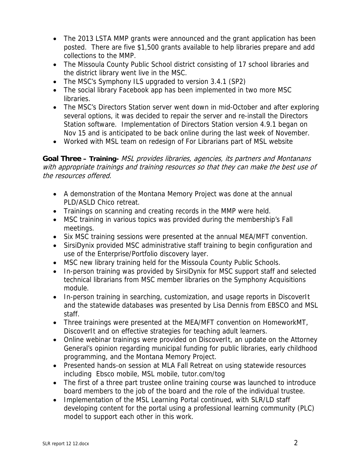- The 2013 LSTA MMP grants were announced and the grant application has been posted. There are five \$1,500 grants available to help libraries prepare and add collections to the MMP.
- The Missoula County Public School district consisting of 17 school libraries and the district library went live in the MSC.
- The MSC's Symphony ILS upgraded to version 3.4.1 (SP2)
- The social library Facebook app has been implemented in two more MSC **libraries**.
- The MSC's Directors Station server went down in mid-October and after exploring several options, it was decided to repair the server and re-install the Directors Station software. Implementation of Directors Station version 4.9.1 began on Nov 15 and is anticipated to be back online during the last week of November.
- Worked with MSL team on redesign of For Librarians part of MSL website

**Goal Three – Training-** MSL provides libraries, agencies, its partners and Montanans with appropriate trainings and training resources so that they can make the best use of the resources offered.

- A demonstration of the Montana Memory Project was done at the annual PLD/ASLD Chico retreat.
- Trainings on scanning and creating records in the MMP were held.
- MSC training in various topics was provided during the membership's Fall meetings.
- Six MSC training sessions were presented at the annual MEA/MFT convention.
- SirsiDynix provided MSC administrative staff training to begin configuration and use of the Enterprise/Portfolio discovery layer.
- MSC new library training held for the Missoula County Public Schools.
- In-person training was provided by SirsiDynix for MSC support staff and selected technical librarians from MSC member libraries on the Symphony Acquisitions module.
- In-person training in searching, customization, and usage reports in DiscoverIt and the statewide databases was presented by Lisa Dennis from EBSCO and MSL staff.
- Three trainings were presented at the MEA/MFT convention on HomeworkMT, DiscoverIt and on effective strategies for teaching adult learners.
- Online webinar trainings were provided on DiscoverIt, an update on the Attorney General's opinion regarding municipal funding for public libraries, early childhood programming, and the Montana Memory Project.
- Presented hands-on session at MLA Fall Retreat on using statewide resources including Ebsco mobile, MSL mobile, tutor.com/tog
- The first of a three part trustee online training course was launched to introduce board members to the job of the board and the role of the individual trustee.
- Implementation of the MSL Learning Portal continued, with SLR/LD staff developing content for the portal using a professional learning community (PLC) model to support each other in this work.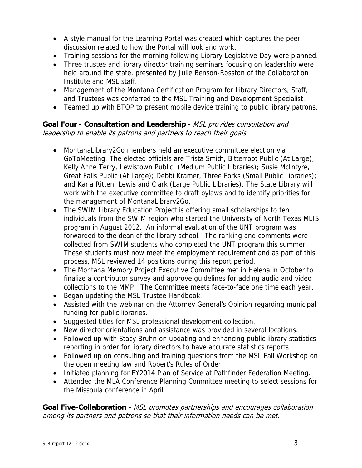- A style manual for the Learning Portal was created which captures the peer discussion related to how the Portal will look and work.
- Training sessions for the morning following Library Legislative Day were planned.
- Three trustee and library director training seminars focusing on leadership were held around the state, presented by Julie Benson-Rosston of the Collaboration Institute and MSL staff.
- Management of the Montana Certification Program for Library Directors, Staff, and Trustees was conferred to the MSL Training and Development Specialist.
- Teamed up with BTOP to present mobile device training to public library patrons.

## **Goal Four - Consultation and Leadership -** MSL provides consultation and leadership to enable its patrons and partners to reach their goals.

- MontanaLibrary2Go members held an executive committee election via GoToMeeting. The elected officials are Trista Smith, Bitterroot Public (At Large); Kelly Anne Terry, Lewistown Public (Medium Public Libraries); Susie McIntyre, Great Falls Public (At Large); Debbi Kramer, Three Forks (Small Public Libraries); and Karla Ritten, Lewis and Clark (Large Public Libraries). The State Library will work with the executive committee to draft bylaws and to identify priorities for the management of MontanaLibrary2Go.
- The SWIM Library Education Project is offering small scholarships to ten individuals from the SWIM region who started the University of North Texas MLIS program in August 2012. An informal evaluation of the UNT program was forwarded to the dean of the library school. The ranking and comments were collected from SWIM students who completed the UNT program this summer. These students must now meet the employment requirement and as part of this process, MSL reviewed 14 positions during this report period.
- The Montana Memory Project Executive Committee met in Helena in October to finalize a contributor survey and approve guidelines for adding audio and video collections to the MMP. The Committee meets face-to-face one time each year.
- Began updating the MSL Trustee Handbook.
- Assisted with the webinar on the Attorney General's Opinion regarding municipal funding for public libraries.
- Suggested titles for MSL professional development collection.
- New director orientations and assistance was provided in several locations.
- Followed up with Stacy Bruhn on updating and enhancing public library statistics reporting in order for library directors to have accurate statistics reports.
- Followed up on consulting and training questions from the MSL Fall Workshop on the open meeting law and Robert's Rules of Order
- Initiated planning for FY2014 Plan of Service at Pathfinder Federation Meeting.
- Attended the MLA Conference Planning Committee meeting to select sessions for the Missoula conference in April.

**Goal Five-Collaboration -** MSL promotes partnerships and encourages collaboration among its partners and patrons so that their information needs can be met.